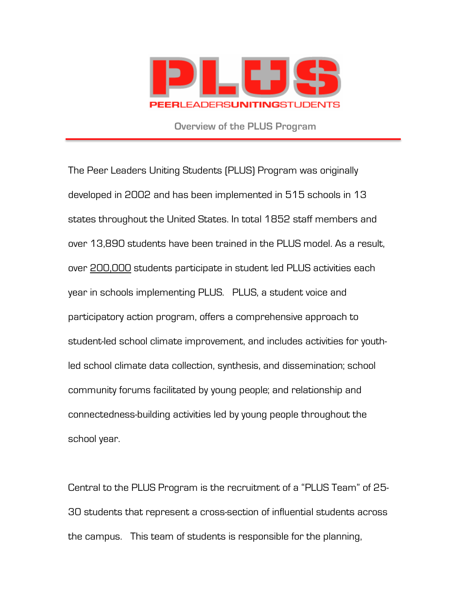

**Overview of the PLUS Program**

The Peer Leaders Uniting Students (PLUS) Program was originally developed in 2002 and has been implemented in 515 schools in 13 states throughout the United States. In total 1852 staff members and over 13,890 students have been trained in the PLUS model. As a result, over 200,000 students participate in student led PLUS activities each year in schools implementing PLUS. PLUS, a student voice and participatory action program, offers a comprehensive approach to student-led school climate improvement, and includes activities for youthled school climate data collection, synthesis, and dissemination; school community forums facilitated by young people; and relationship and connectedness-building activities led by young people throughout the school year.

Central to the PLUS Program is the recruitment of a "PLUS Team" of 25- 30 students that represent a cross-section of influential students across the campus. This team of students is responsible for the planning,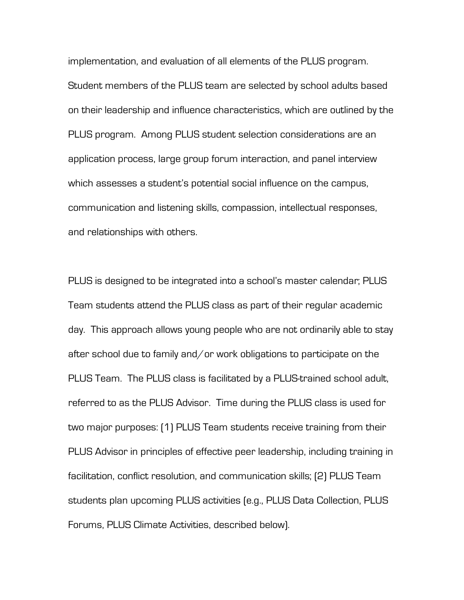implementation, and evaluation of all elements of the PLUS program. Student members of the PLUS team are selected by school adults based on their leadership and influence characteristics, which are outlined by the PLUS program. Among PLUS student selection considerations are an application process, large group forum interaction, and panel interview which assesses a student's potential social influence on the campus, communication and listening skills, compassion, intellectual responses, and relationships with others.

PLUS is designed to be integrated into a school's master calendar; PLUS Team students attend the PLUS class as part of their regular academic day. This approach allows young people who are not ordinarily able to stay after school due to family and/or work obligations to participate on the PLUS Team. The PLUS class is facilitated by a PLUS-trained school adult, referred to as the PLUS Advisor. Time during the PLUS class is used for two major purposes: (1) PLUS Team students receive training from their PLUS Advisor in principles of effective peer leadership, including training in facilitation, conflict resolution, and communication skills; (2) PLUS Team students plan upcoming PLUS activities (e.g., PLUS Data Collection, PLUS Forums, PLUS Climate Activities, described below).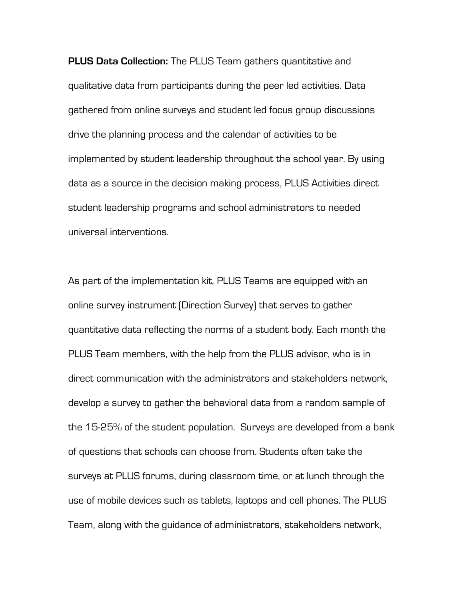**PLUS Data Collection:** The PLUS Team gathers quantitative and qualitative data from participants during the peer led activities. Data gathered from online surveys and student led focus group discussions drive the planning process and the calendar of activities to be implemented by student leadership throughout the school year. By using data as a source in the decision making process, PLUS Activities direct student leadership programs and school administrators to needed universal interventions.

As part of the implementation kit, PLUS Teams are equipped with an online survey instrument (Direction Survey) that serves to gather quantitative data reflecting the norms of a student body. Each month the PLUS Team members, with the help from the PLUS advisor, who is in direct communication with the administrators and stakeholders network, develop a survey to gather the behavioral data from a random sample of the 15-25% of the student population. Surveys are developed from a bank of questions that schools can choose from. Students often take the surveys at PLUS forums, during classroom time, or at lunch through the use of mobile devices such as tablets, laptops and cell phones. The PLUS Team, along with the guidance of administrators, stakeholders network,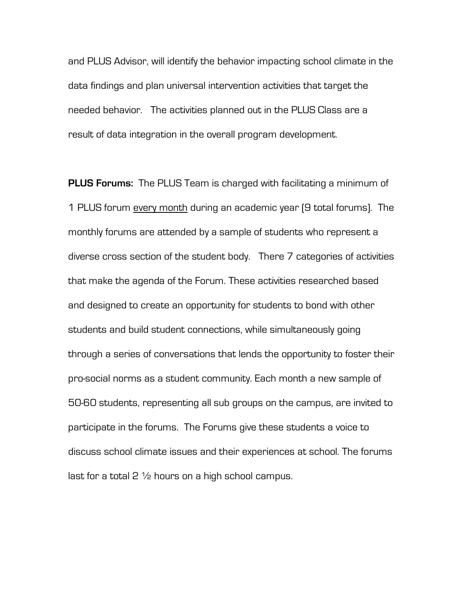and PLUS Advisor, will identify the behavior impacting school climate in the data findings and plan universal intervention activities that target the needed behavior. The activities planned out in the PLUS Class are a result of data integration in the overall program development.

**PLUS Forums:** The PLUS Team is charged with facilitating a minimum of 1 PLUS forum every month during an academic year (9 total forums). The monthly forums are attended by a sample of students who represent a diverse cross section of the student body. There 7 categories of activities that make the agenda of the Forum. These activities researched based and designed to create an opportunity for students to bond with other students and build student connections, while simultaneously going through a series of conversations that lends the opportunity to foster their pro-social norms as a student community. Each month a new sample of 50-60 students, representing all sub groups on the campus, are invited to participate in the forums. The Forums give these students a voice to discuss school climate issues and their experiences at school. The forums last for a total 2  $\frac{1}{2}$  hours on a high school campus.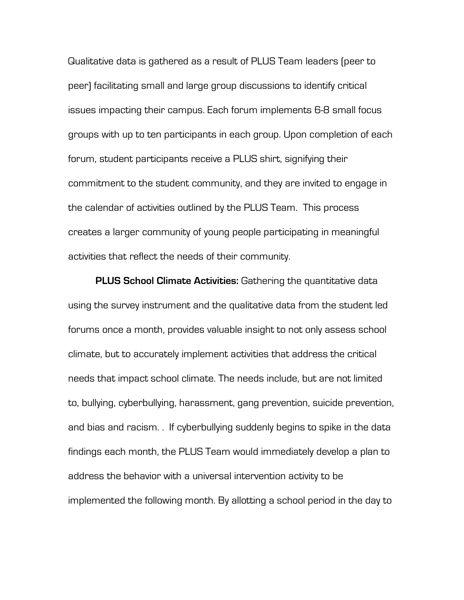Qualitative data is gathered as a result of PLUS Team leaders (peer to peer) facilitating small and large group discussions to identify critical issues impacting their campus. Each forum implements 6-8 small focus groups with up to ten participants in each group. Upon completion of each forum, student participants receive a PLUS shirt, signifying their commitment to the student community, and they are invited to engage in the calendar of activities outlined by the PLUS Team. This process creates a larger community of young people participating in meaningful activities that reflect the needs of their community.

**PLUS School Climate Activities:** Gathering the quantitative data using the survey instrument and the qualitative data from the student led forums once a month, provides valuable insight to not only assess school climate, but to accurately implement activities that address the critical needs that impact school climate. The needs include, but are not limited to, bullying, cyberbullying, harassment, gang prevention, suicide prevention, and bias and racism. . If cyberbullying suddenly begins to spike in the data findings each month, the PLUS Team would immediately develop a plan to address the behavior with a universal intervention activity to be implemented the following month. By allotting a school period in the day to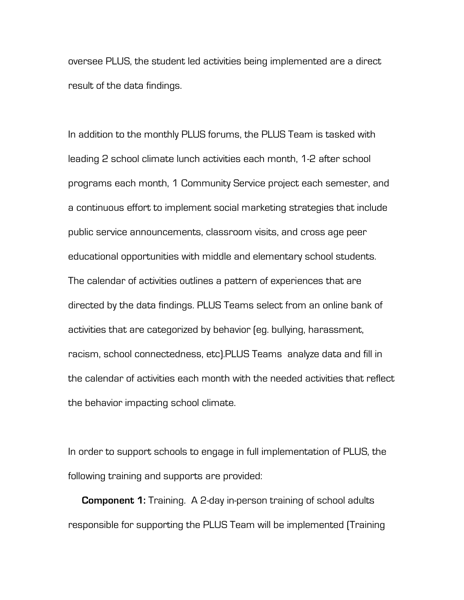oversee PLUS, the student led activities being implemented are a direct result of the data findings.

In addition to the monthly PLUS forums, the PLUS Team is tasked with leading 2 school climate lunch activities each month, 1-2 after school programs each month, 1 Community Service project each semester, and a continuous effort to implement social marketing strategies that include public service announcements, classroom visits, and cross age peer educational opportunities with middle and elementary school students. The calendar of activities outlines a pattern of experiences that are directed by the data findings. PLUS Teams select from an online bank of activities that are categorized by behavior (eg. bullying, harassment, racism, school connectedness, etc).PLUS Teams analyze data and fill in the calendar of activities each month with the needed activities that reflect the behavior impacting school climate.

In order to support schools to engage in full implementation of PLUS, the following training and supports are provided:

**Component 1:** Training. A 2-day in-person training of school adults responsible for supporting the PLUS Team will be implemented (Training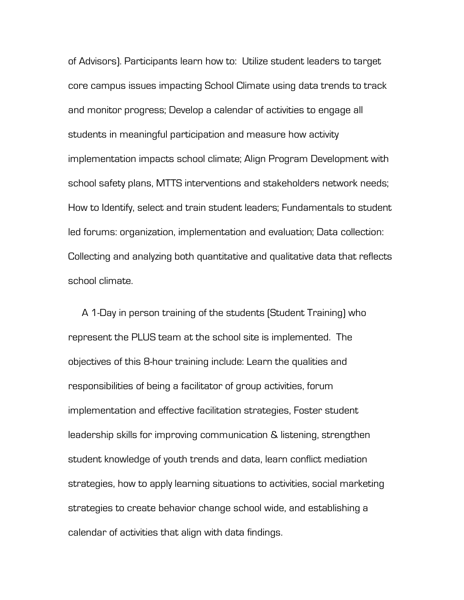of Advisors). Participants learn how to: Utilize student leaders to target core campus issues impacting School Climate using data trends to track and monitor progress; Develop a calendar of activities to engage all students in meaningful participation and measure how activity implementation impacts school climate; Align Program Development with school safety plans, MTTS interventions and stakeholders network needs; How to Identify, select and train student leaders; Fundamentals to student led forums: organization, implementation and evaluation; Data collection: Collecting and analyzing both quantitative and qualitative data that reflects school climate.

A 1-Day in person training of the students (Student Training) who represent the PLUS team at the school site is implemented. The objectives of this 8-hour training include: Learn the qualities and responsibilities of being a facilitator of group activities, forum implementation and effective facilitation strategies, Foster student leadership skills for improving communication & listening, strengthen student knowledge of youth trends and data, learn conflict mediation strategies, how to apply learning situations to activities, social marketing strategies to create behavior change school wide, and establishing a calendar of activities that align with data findings.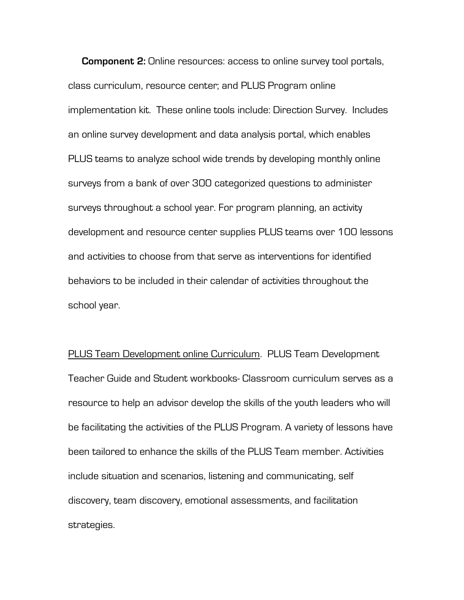**Component 2:** Online resources: access to online survey tool portals, class curriculum, resource center; and PLUS Program online implementation kit. These online tools include: Direction Survey. Includes an online survey development and data analysis portal, which enables PLUS teams to analyze school wide trends by developing monthly online surveys from a bank of over 300 categorized questions to administer surveys throughout a school year. For program planning, an activity development and resource center supplies PLUS teams over 100 lessons and activities to choose from that serve as interventions for identified behaviors to be included in their calendar of activities throughout the school year.

PLUS Team Development online Curriculum. PLUS Team Development Teacher Guide and Student workbooks- Classroom curriculum serves as a resource to help an advisor develop the skills of the youth leaders who will be facilitating the activities of the PLUS Program. A variety of lessons have been tailored to enhance the skills of the PLUS Team member. Activities include situation and scenarios, listening and communicating, self discovery, team discovery, emotional assessments, and facilitation strategies.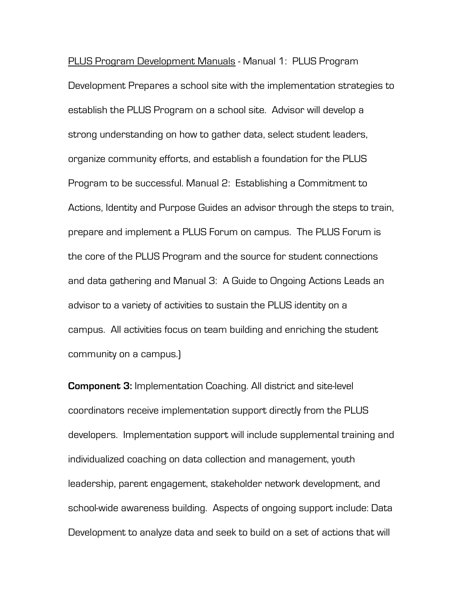PLUS Program Development Manuals - Manual 1: PLUS Program Development Prepares a school site with the implementation strategies to establish the PLUS Program on a school site. Advisor will develop a strong understanding on how to gather data, select student leaders, organize community efforts, and establish a foundation for the PLUS Program to be successful. Manual 2: Establishing a Commitment to Actions, Identity and Purpose Guides an advisor through the steps to train, prepare and implement a PLUS Forum on campus. The PLUS Forum is the core of the PLUS Program and the source for student connections and data gathering and Manual 3: A Guide to Ongoing Actions Leads an advisor to a variety of activities to sustain the PLUS identity on a campus. All activities focus on team building and enriching the student community on a campus.)

**Component 3:** Implementation Coaching. All district and site-level coordinators receive implementation support directly from the PLUS developers. Implementation support will include supplemental training and individualized coaching on data collection and management, youth leadership, parent engagement, stakeholder network development, and school-wide awareness building. Aspects of ongoing support include: Data Development to analyze data and seek to build on a set of actions that will